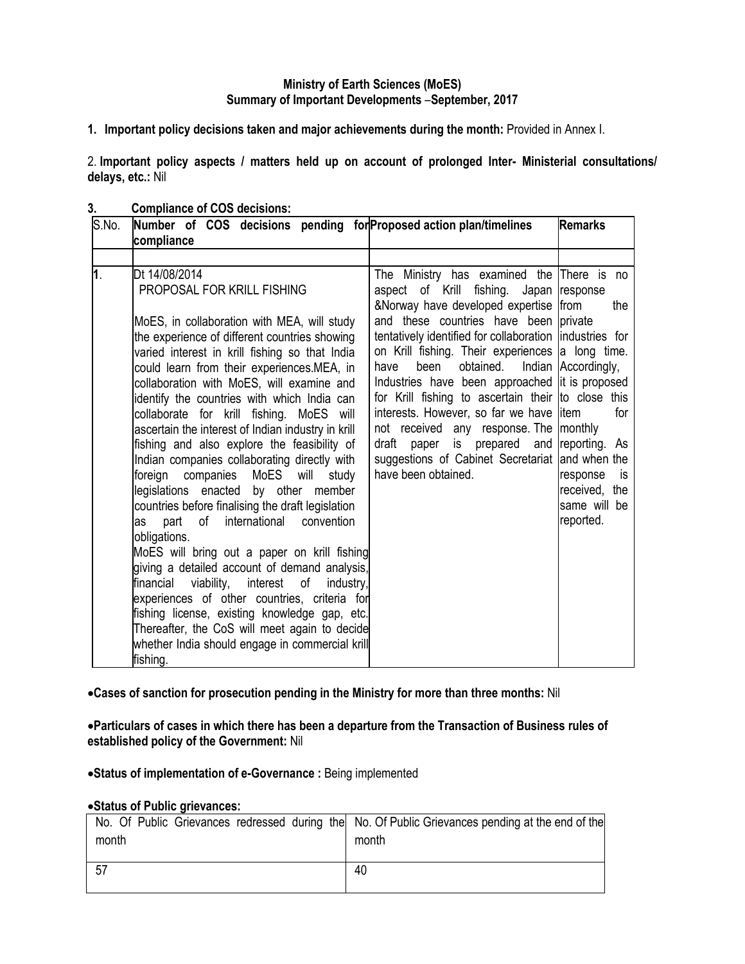# **Ministry of Earth Sciences (MoES) Summary of Important Developments** –**September, 2017**

**1. Important policy decisions taken and major achievements during the month:** Provided in Annex I.

2. **Important policy aspects / matters held up on account of prolonged Inter- Ministerial consultations/ delays, etc.:** Nil

- S.No. Number of COS decisions pending for Proposed action plan/timelines **Remarks compliance 1**. Dt 14/08/2014 PROPOSAL FOR KRILL FISHING MoES, in collaboration with MEA, will study the experience of different countries showing varied interest in krill fishing so that India could learn from their experiences.MEA, in collaboration with MoES, will examine and identify the countries with which India can collaborate for krill fishing. MoES will ascertain the interest of Indian industry in krill fishing and also explore the feasibility of Indian companies collaborating directly with foreign companies MoES will study legislations enacted by other member countries before finalising the draft legislation as part of international convention obligations. MoES will bring out a paper on krill fishing giving a detailed account of demand analysis, financial viability, interest of industry, experiences of other countries, criteria for fishing license, existing knowledge gap, etc. Thereafter, the CoS will meet again to decide whether India should engage in commercial krill fishing. The Ministry has examined the There is no aspect of Krill fishing. Japan response &Norway have developed expertise from the and these countries have been private tentatively identified for collaboration industries for on Krill fishing. Their experiences a long time. have been obtained. Industries have been approached it is proposed for Krill fishing to ascertain their to close this interests. However, so far we have litem for not received any response. The monthly draft paper is prepared and reporting. As suggestions of Cabinet Secretariat and when the have been obtained. Indian Accordingly, response is received, the same will be reported.
- **3. Compliance of COS decisions:**

**Cases of sanction for prosecution pending in the Ministry for more than three months:** Nil

**Particulars of cases in which there has been a departure from the Transaction of Business rules of established policy of the Government:** Nil

**Status of implementation of e-Governance :** Being implemented

#### **Status of Public grievances:**

| month | No. Of Public Grievances redressed during the No. Of Public Grievances pending at the end of the<br>month |
|-------|-----------------------------------------------------------------------------------------------------------|
| 57    | 40                                                                                                        |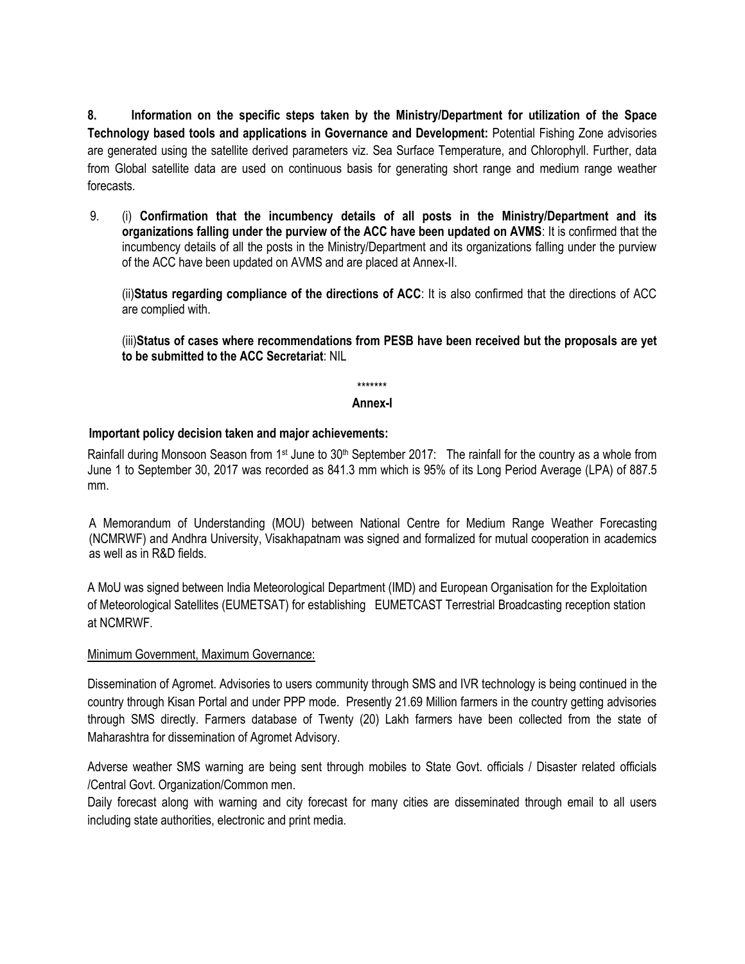**8. Information on the specific steps taken by the Ministry/Department for utilization of the Space Technology based tools and applications in Governance and Development:** Potential Fishing Zone advisories are generated using the satellite derived parameters viz. Sea Surface Temperature, and Chlorophyll. Further, data from Global satellite data are used on continuous basis for generating short range and medium range weather forecasts.

9. (i) **Confirmation that the incumbency details of all posts in the Ministry/Department and its organizations falling under the purview of the ACC have been updated on AVMS**: It is confirmed that the incumbency details of all the posts in the Ministry/Department and its organizations falling under the purview of the ACC have been updated on AVMS and are placed at Annex-II.

(ii)**Status regarding compliance of the directions of ACC**: It is also confirmed that the directions of ACC are complied with.

(iii)**Status of cases where recommendations from PESB have been received but the proposals are yet to be submitted to the ACC Secretariat**: NIL

\*\*\*\*\*\*\*

#### **Annex-I**

# **Important policy decision taken and major achievements:**

Rainfall during Monsoon Season from 1<sup>st</sup> June to 30<sup>th</sup> September 2017: The rainfall for the country as a whole from June 1 to September 30, 2017 was recorded as 841.3 mm which is 95% of its Long Period Average (LPA) of 887.5 mm.

A Memorandum of Understanding (MOU) between National Centre for Medium Range Weather Forecasting (NCMRWF) and Andhra University, Visakhapatnam was signed and formalized for mutual cooperation in academics as well as in R&D fields.

A MoU was signed between India Meteorological Department (IMD) and European Organisation for the Exploitation of Meteorological Satellites (EUMETSAT) for establishing EUMETCAST Terrestrial Broadcasting reception station at NCMRWF.

### Minimum Government, Maximum Governance:

Dissemination of Agromet. Advisories to users community through SMS and IVR technology is being continued in the country through Kisan Portal and under PPP mode. Presently 21.69 Million farmers in the country getting advisories through SMS directly. Farmers database of Twenty (20) Lakh farmers have been collected from the state of Maharashtra for dissemination of Agromet Advisory.

Adverse weather SMS warning are being sent through mobiles to State Govt. officials / Disaster related officials /Central Govt. Organization/Common men.

Daily forecast along with warning and city forecast for many cities are disseminated through email to all users including state authorities, electronic and print media.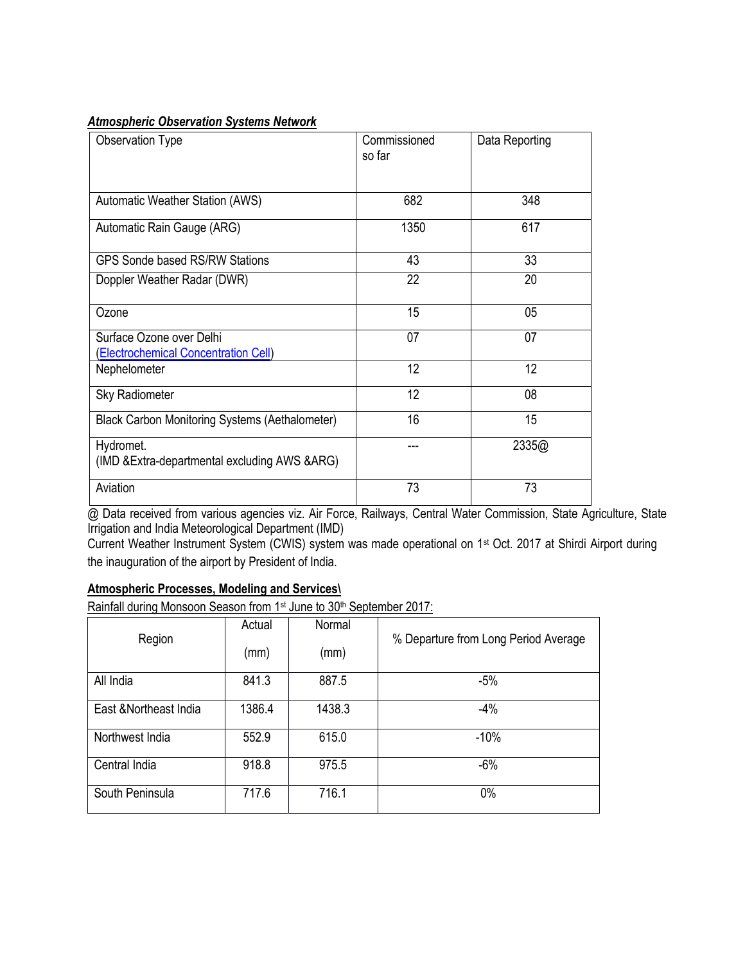# *Atmospheric Observation Systems Network*

| <b>Observation Type</b>                                          | Commissioned<br>so far | Data Reporting |
|------------------------------------------------------------------|------------------------|----------------|
| Automatic Weather Station (AWS)                                  | 682                    | 348            |
| Automatic Rain Gauge (ARG)                                       | 1350                   | 617            |
| <b>GPS Sonde based RS/RW Stations</b>                            | 43                     | 33             |
| Doppler Weather Radar (DWR)                                      | 22                     | 20             |
| Ozone                                                            | 15                     | 05             |
| Surface Ozone over Delhi<br>(Electrochemical Concentration Cell) | 07                     | 07             |
| Nephelometer                                                     | 12                     | 12             |
| <b>Sky Radiometer</b>                                            | 12                     | 08             |
| <b>Black Carbon Monitoring Systems (Aethalometer)</b>            | 16                     | 15             |
| Hydromet.<br>(IMD & Extra-departmental excluding AWS & ARG)      |                        | 2335@          |
| Aviation                                                         | 73                     | 73             |

@ Data received from various agencies viz. Air Force, Railways, Central Water Commission, State Agriculture, State Irrigation and India Meteorological Department (IMD)

Current Weather Instrument System (CWIS) system was made operational on 1st Oct. 2017 at Shirdi Airport during the inauguration of the airport by President of India.

# **Atmospheric Processes, Modeling and Services\**

Rainfall during Monsoon Season from 1<sup>st</sup> June to 30<sup>th</sup> September 2017:

| Region                 | Actual | Normal | % Departure from Long Period Average |
|------------------------|--------|--------|--------------------------------------|
|                        | (mm)   | (mm)   |                                      |
| All India              | 841.3  | 887.5  | $-5%$                                |
| East & Northeast India | 1386.4 | 1438.3 | $-4%$                                |
| Northwest India        | 552.9  | 615.0  | $-10%$                               |
| Central India          | 918.8  | 975.5  | $-6%$                                |
| South Peninsula        | 717.6  | 716.1  | 0%                                   |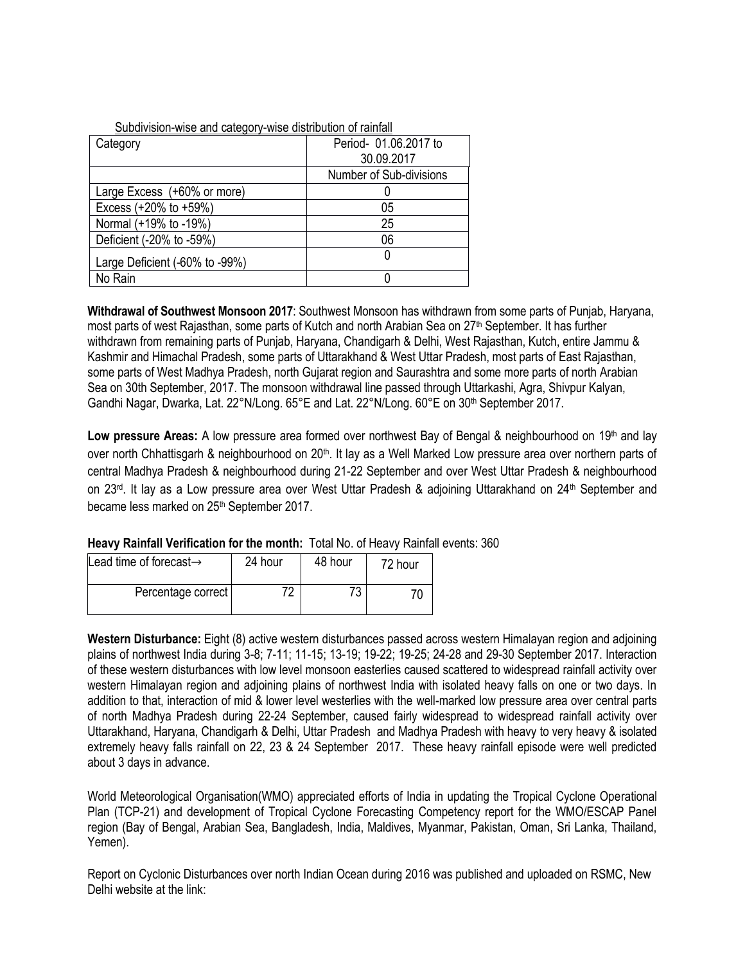| Subdivision-wise and category-wise distribution of rainfall |                         |  |  |
|-------------------------------------------------------------|-------------------------|--|--|
| Category                                                    | Period- 01.06.2017 to   |  |  |
|                                                             | 30.09.2017              |  |  |
|                                                             | Number of Sub-divisions |  |  |
| Large Excess (+60% or more)                                 |                         |  |  |
| Excess $(+20\% \text{ to } +59\%)$                          | 05                      |  |  |
| Normal (+19% to -19%)                                       | 25                      |  |  |
| Deficient (-20% to -59%)                                    | 06                      |  |  |
| Large Deficient (-60% to -99%)                              |                         |  |  |
| No Rain                                                     |                         |  |  |

**Withdrawal of Southwest Monsoon 2017**: Southwest Monsoon has withdrawn from some parts of Punjab, Haryana, most parts of west Rajasthan, some parts of Kutch and north Arabian Sea on 27<sup>th</sup> September. It has further withdrawn from remaining parts of Punjab, Haryana, Chandigarh & Delhi, West Rajasthan, Kutch, entire Jammu & Kashmir and Himachal Pradesh, some parts of Uttarakhand & West Uttar Pradesh, most parts of East Rajasthan, some parts of West Madhya Pradesh, north Gujarat region and Saurashtra and some more parts of north Arabian Sea on 30th September, 2017. The monsoon withdrawal line passed through Uttarkashi, Agra, Shivpur Kalyan, Gandhi Nagar, Dwarka, Lat. 22°N/Long. 65°E and Lat. 22°N/Long. 60°E on 30th September 2017.

Low pressure Areas: A low pressure area formed over northwest Bay of Bengal & neighbourhood on 19<sup>th</sup> and lay over north Chhattisgarh & neighbourhood on 20<sup>th</sup>. It lay as a Well Marked Low pressure area over northern parts of central Madhya Pradesh & neighbourhood during 21-22 September and over West Uttar Pradesh & neighbourhood on 23<sup>rd</sup>. It lay as a Low pressure area over West Uttar Pradesh & adjoining Uttarakhand on 24<sup>th</sup> September and became less marked on 25<sup>th</sup> September 2017.

| Lead time of forecast $\rightarrow$ | 24 hour | 48 hour  | 72 hour |
|-------------------------------------|---------|----------|---------|
| Percentage correct                  | 70      | 72<br>-J |         |

**Western Disturbance:** Eight (8) active western disturbances passed across western Himalayan region and adjoining plains of northwest India during 3-8; 7-11; 11-15; 13-19; 19-22; 19-25; 24-28 and 29-30 September 2017. Interaction of these western disturbances with low level monsoon easterlies caused scattered to widespread rainfall activity over western Himalayan region and adjoining plains of northwest India with isolated heavy falls on one or two days. In addition to that, interaction of mid & lower level westerlies with the well-marked low pressure area over central parts of north Madhya Pradesh during 22-24 September, caused fairly widespread to widespread rainfall activity over Uttarakhand, Haryana, Chandigarh & Delhi, Uttar Pradesh and Madhya Pradesh with heavy to very heavy & isolated extremely heavy falls rainfall on 22, 23 & 24 September 2017. These heavy rainfall episode were well predicted about 3 days in advance.

World Meteorological Organisation(WMO) appreciated efforts of India in updating the Tropical Cyclone Operational Plan (TCP-21) and development of Tropical Cyclone Forecasting Competency report for the WMO/ESCAP Panel region (Bay of Bengal, Arabian Sea, Bangladesh, India, Maldives, Myanmar, Pakistan, Oman, Sri Lanka, Thailand, Yemen).

Report on Cyclonic Disturbances over north Indian Ocean during 2016 was published and uploaded on RSMC, New Delhi website at the link: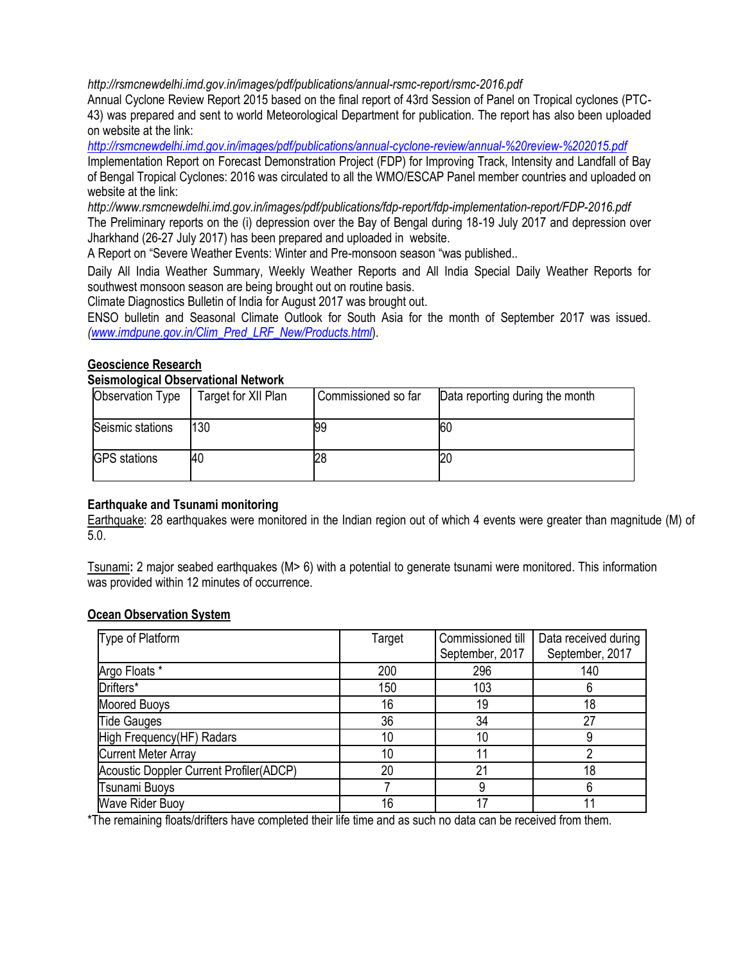*<http://rsmcnewdelhi.imd.gov.in/images/pdf/publications/annual-rsmc-report/rsmc-2016.pdf>*

Annual Cyclone Review Report 2015 based on the final report of 43rd Session of Panel on Tropical cyclones (PTC-43) was prepared and sent to world Meteorological Department for publication. The report has also been uploaded on website at the link:

*<http://rsmcnewdelhi.imd.gov.in/images/pdf/publications/annual-cyclone-review/annual-%20review-%202015.pdf>*

Implementation Report on Forecast Demonstration Project (FDP) for Improving Track, Intensity and Landfall of Bay of Bengal Tropical Cyclones: 2016 was circulated to all the WMO/ESCAP Panel member countries and uploaded on website at the link:

*<http://www.rsmcnewdelhi.imd.gov.in/images/pdf/publications/fdp-report/fdp-implementation-report/FDP-2016.pdf>* The Preliminary reports on the (i) depression over the Bay of Bengal during 18-19 July 2017 and depression over Jharkhand (26-27 July 2017) has been prepared and uploaded in website.

A Report on "Severe Weather Events: Winter and Pre-monsoon season "was published..

Daily All India Weather Summary, Weekly Weather Reports and All India Special Daily Weather Reports for southwest monsoon season are being brought out on routine basis.

Climate Diagnostics Bulletin of India for August 2017 was brought out.

ENSO bulletin and Seasonal Climate Outlook for South Asia for the month of September 2017 was issued. *[\(www.imdpune.gov.in/Clim\\_Pred\\_LRF\\_New/Products.html](http://www.imdpune.gov.in/Clim_Pred_LRF_New/Products.html)*).

# **Geoscience Research**

### **Seismological Observational Network**

| Observation Type    | Target for XII Plan | Commissioned so far | Data reporting during the month |
|---------------------|---------------------|---------------------|---------------------------------|
| Seismic stations    | 130                 | 99                  | 60                              |
| <b>GPS</b> stations | 40                  | 28                  |                                 |

### **Earthquake and Tsunami monitoring**

Earthquake: 28 earthquakes were monitored in the Indian region out of which 4 events were greater than magnitude (M) of 5.0.

Tsunami**:** 2 major seabed earthquakes (M> 6) with a potential to generate tsunami were monitored. This information was provided within 12 minutes of occurrence.

### **Ocean Observation System**

| Type of Platform                               | Target | Commissioned till<br>September, 2017 | Data received during<br>September, 2017 |
|------------------------------------------------|--------|--------------------------------------|-----------------------------------------|
| Argo Floats *                                  | 200    | 296                                  | 140                                     |
| Drifters*                                      | 150    | 103                                  |                                         |
| Moored Buoys                                   | 16     | 19                                   | 18                                      |
| <b>Tide Gauges</b>                             | 36     | 34                                   | 27                                      |
| High Frequency(HF) Radars                      | 10     | 10                                   |                                         |
| <b>Current Meter Array</b>                     | 10     | 11                                   |                                         |
| <b>Acoustic Doppler Current Profiler(ADCP)</b> | 20     | 21                                   | 18                                      |
| Tsunami Buoys                                  |        |                                      |                                         |
| <b>Wave Rider Buoy</b>                         | 16     | 17                                   |                                         |

\*The remaining floats/drifters have completed their life time and as such no data can be received from them.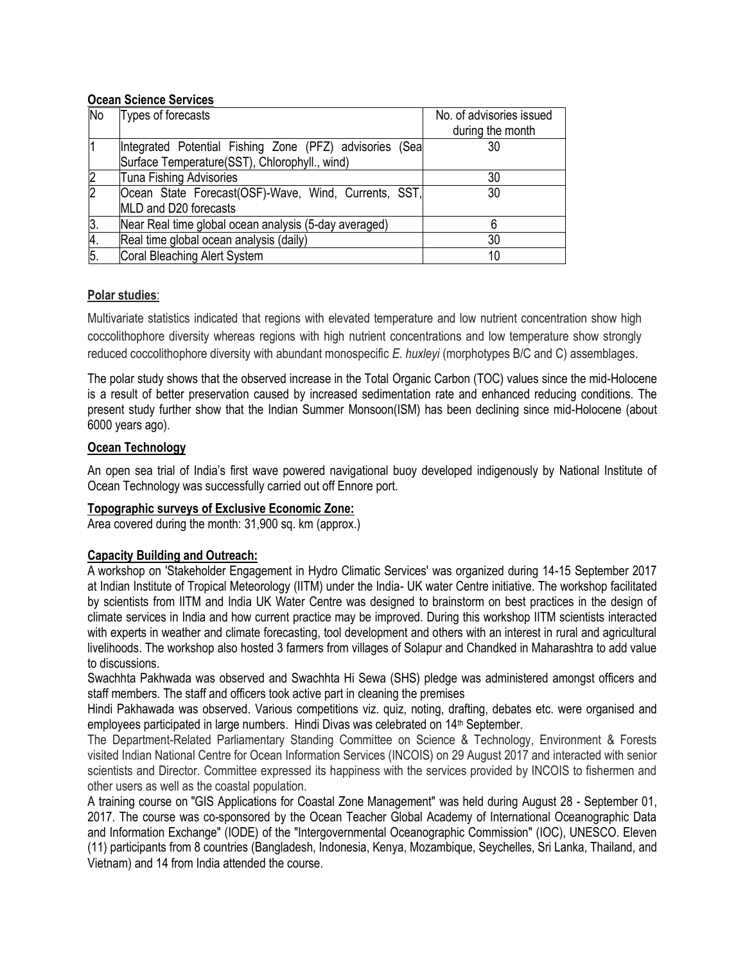## **Ocean Science Services**

| <b>No</b>        | Types of forecasts                                      | No. of advisories issued |
|------------------|---------------------------------------------------------|--------------------------|
|                  |                                                         | during the month         |
|                  | Integrated Potential Fishing Zone (PFZ) advisories (Sea | 30                       |
|                  | Surface Temperature(SST), Chlorophyll., wind)           |                          |
|                  | Tuna Fishing Advisories                                 | 30                       |
| 2                | Ocean State Forecast(OSF)-Wave, Wind, Currents, SST,    | 30                       |
|                  | MLD and D20 forecasts                                   |                          |
| 3.               | Near Real time global ocean analysis (5-day averaged)   |                          |
| 4.               | Real time global ocean analysis (daily)                 | 30                       |
| $\overline{5}$ . | Coral Bleaching Alert System                            | 10                       |

# **Polar studies**:

Multivariate statistics indicated that regions with elevated temperature and low nutrient concentration show high coccolithophore diversity whereas regions with high nutrient concentrations and low temperature show strongly reduced coccolithophore diversity with abundant monospecific *E. huxleyi* (morphotypes B/C and C) assemblages.

The polar study shows that the observed increase in the Total Organic Carbon (TOC) values since the mid-Holocene is a result of better preservation caused by increased sedimentation rate and enhanced reducing conditions. The present study further show that the Indian Summer Monsoon(ISM) has been declining since mid-Holocene (about 6000 years ago).

# **Ocean Technology**

An open sea trial of India's first wave powered navigational buoy developed indigenously by National Institute of Ocean Technology was successfully carried out off Ennore port.

## **Topographic surveys of Exclusive Economic Zone:**

Area covered during the month: 31,900 sq. km (approx.)

# **Capacity Building and Outreach:**

A workshop on 'Stakeholder Engagement in Hydro Climatic Services' was organized during 14-15 September 2017 at Indian Institute of Tropical Meteorology (IITM) under the India- UK water Centre initiative. The workshop facilitated by scientists from IITM and India UK Water Centre was designed to brainstorm on best practices in the design of climate services in India and how current practice may be improved. During this workshop IITM scientists interacted with experts in weather and climate forecasting, tool development and others with an interest in rural and agricultural livelihoods. The workshop also hosted 3 farmers from villages of Solapur and Chandked in Maharashtra to add value to discussions.

Swachhta Pakhwada was observed and Swachhta Hi Sewa (SHS) pledge was administered amongst officers and staff members. The staff and officers took active part in cleaning the premises

Hindi Pakhawada was observed. Various competitions viz. quiz, noting, drafting, debates etc. were organised and employees participated in large numbers. Hindi Divas was celebrated on 14<sup>th</sup> September.

The Department-Related Parliamentary Standing Committee on Science & Technology, Environment & Forests visited Indian National Centre for Ocean Information Services (INCOIS) on 29 August 2017 and interacted with senior scientists and Director. Committee expressed its happiness with the services provided by INCOIS to fishermen and other users as well as the coastal population.

A training course on "GIS Applications for Coastal Zone Management" was held during August 28 - September 01, 2017. The course was co-sponsored by the Ocean Teacher Global Academy of International Oceanographic Data and Information Exchange" (IODE) of the "Intergovernmental Oceanographic Commission" (IOC), UNESCO. Eleven (11) participants from 8 countries (Bangladesh, Indonesia, Kenya, Mozambique, Seychelles, Sri Lanka, Thailand, and Vietnam) and 14 from India attended the course.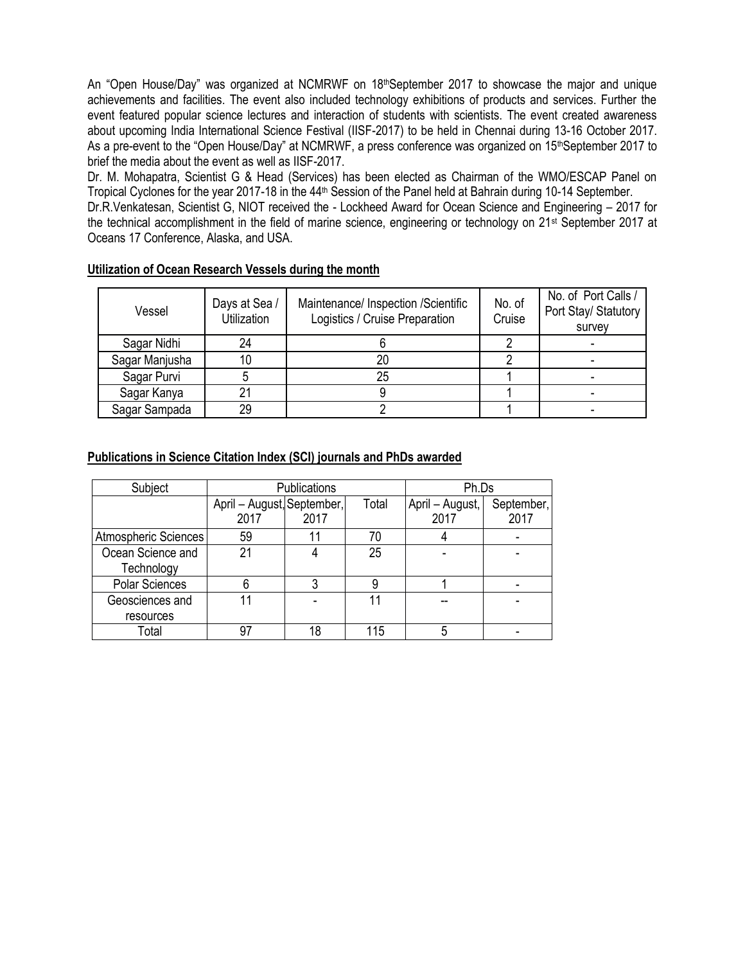An "Open House/Day" was organized at NCMRWF on 18<sup>th</sup>September 2017 to showcase the major and unique achievements and facilities. The event also included technology exhibitions of products and services. Further the event featured popular science lectures and interaction of students with scientists. The event created awareness about upcoming India International Science Festival (IISF-2017) to be held in Chennai during 13-16 October 2017. As a pre-event to the "Open House/Day" at NCMRWF, a press conference was organized on 15th September 2017 to brief the media about the event as well as IISF-2017.

Dr. M. Mohapatra, Scientist G & Head (Services) has been elected as Chairman of the WMO/ESCAP Panel on Tropical Cyclones for the year 2017-18 in the 44<sup>th</sup> Session of the Panel held at Bahrain during 10-14 September.

Dr.R.Venkatesan, Scientist G, NIOT received the - Lockheed Award for Ocean Science and Engineering – 2017 for the technical accomplishment in the field of marine science, engineering or technology on 21st September 2017 at Oceans 17 Conference, Alaska, and USA.

| Vessel         | Days at Sea /<br><b>Utilization</b> | Maintenance/ Inspection /Scientific<br>Logistics / Cruise Preparation | No. of<br>Cruise | No. of Port Calls /<br>Port Stay/ Statutory<br>survey |
|----------------|-------------------------------------|-----------------------------------------------------------------------|------------------|-------------------------------------------------------|
| Sagar Nidhi    | 24                                  |                                                                       |                  |                                                       |
| Sagar Manjusha | 10                                  | 20                                                                    |                  |                                                       |
| Sagar Purvi    |                                     | 25                                                                    |                  |                                                       |
| Sagar Kanya    | 21                                  |                                                                       |                  |                                                       |
| Sagar Sampada  | 29                                  |                                                                       |                  |                                                       |

# **Utilization of Ocean Research Vessels during the month**

# **Publications in Science Citation Index (SCI) journals and PhDs awarded**

| Subject                         | Publications                       |      |       | Ph.Ds                   |                    |
|---------------------------------|------------------------------------|------|-------|-------------------------|--------------------|
|                                 | April - August, September,<br>2017 | 2017 | Total | April – August,<br>2017 | September,<br>2017 |
| Atmospheric Sciences            | 59                                 | 11   | 70    |                         |                    |
| Ocean Science and<br>Technology | 21                                 | 4    | 25    |                         |                    |
| <b>Polar Sciences</b>           |                                    |      | 9     |                         |                    |
| Geosciences and                 |                                    |      |       |                         |                    |
| resources                       |                                    |      |       |                         |                    |
| Total                           | 97                                 | 18   | 115   |                         |                    |